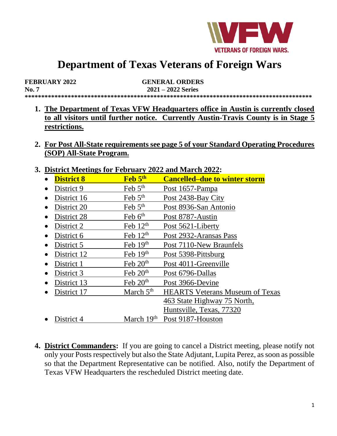

# **Department of Texas Veterans of Foreign Wars**

| <b>FEBRUARY 2022</b> | <b>GENERAL ORDERS</b> |  |
|----------------------|-----------------------|--|
| No. 7                | $2021 - 2022$ Series  |  |
|                      |                       |  |

- **1. The Department of Texas VFW Headquarters office in Austin is currently closed to all visitors until further notice. Currently Austin-Travis County is in Stage 5 restrictions.**
- **2. For Post All-State requirements see page 5 of your Standard Operating Procedures (SOP) All-State Program.**
- **3. District Meetings for February 2022 and March 2022:**

| District interings for I cordary gogs and march soss |                      |                                      |
|------------------------------------------------------|----------------------|--------------------------------------|
| <b>District 8</b>                                    | Feb 5th              | <b>Cancelled–due to winter storm</b> |
| District 9                                           | Feb $5th$            | Post 1657-Pampa                      |
| District 16                                          | Feb $5th$            | Post 2438-Bay City                   |
| District 20                                          | Feb $5th$            | Post 8936-San Antonio                |
| District 28                                          | Feb $6th$            | Post 8787-Austin                     |
| District 2<br>$\bullet$                              | Feb $12th$           | Post 5621-Liberty                    |
| District 6<br>$\bullet$                              | Feb $12th$           | Post 2932-Aransas Pass               |
| District 5                                           | Feb $19th$           | Post 7110-New Braunfels              |
| District 12                                          | Feb $19th$           | Post 5398-Pittsburg                  |
| District 1                                           | Feb $20th$           | Post 4011-Greenville                 |
| District 3                                           | Feb $20th$           | Post 6796-Dallas                     |
| District 13                                          | Feb 20 <sup>th</sup> | Post 3966-Devine                     |

- District 17 March 5<sup>th</sup> HEARTS Veterans Museum of Texas 463 State Highway 75 North, Huntsville, Texas, 77320 • District 4 March  $19<sup>th</sup>$  Post 9187-Houston
- **4. District Commanders:** If you are going to cancel a District meeting, please notify not only your Posts respectively but also the State Adjutant, Lupita Perez, as soon as possible so that the Department Representative can be notified. Also, notify the Department of Texas VFW Headquarters the rescheduled District meeting date.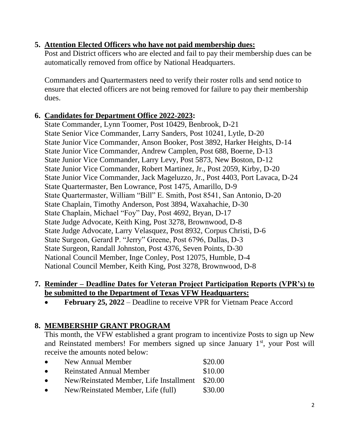# **5. Attention Elected Officers who have not paid membership dues:**

Post and District officers who are elected and fail to pay their membership dues can be automatically removed from office by National Headquarters.

Commanders and Quartermasters need to verify their roster rolls and send notice to ensure that elected officers are not being removed for failure to pay their membership dues.

## **6. Candidates for Department Office 2022-2023:**

State Commander, Lynn Toomer, Post 10429, Benbrook, D-21 State Senior Vice Commander, Larry Sanders, Post 10241, Lytle, D-20 State Junior Vice Commander, Anson Booker, Post 3892, Harker Heights, D-14 State Junior Vice Commander, Andrew Camplen, Post 688, Boerne, D-13 State Junior Vice Commander, Larry Levy, Post 5873, New Boston, D-12 State Junior Vice Commander, Robert Martinez, Jr., Post 2059, Kirby, D-20 State Junior Vice Commander, Jack Mageluzzo, Jr., Post 4403, Port Lavaca, D-24 State Quartermaster, Ben Lowrance, Post 1475, Amarillo, D-9 State Quartermaster, William "Bill" E. Smith, Post 8541, San Antonio, D-20 State Chaplain, Timothy Anderson, Post 3894, Waxahachie, D-30 State Chaplain, Michael "Foy" Day, Post 4692, Bryan, D-17 State Judge Advocate, Keith King, Post 3278, Brownwood, D-8 State Judge Advocate, Larry Velasquez, Post 8932, Corpus Christi, D-6 State Surgeon, Gerard P. "Jerry" Greene, Post 6796, Dallas, D-3 State Surgeon, Randall Johnston, Post 4376, Seven Points, D-30 National Council Member, Inge Conley, Post 12075, Humble, D-4 National Council Member, Keith King, Post 3278, Brownwood, D-8

#### **7. Reminder – Deadline Dates for Veteran Project Participation Reports (VPR's) to be submitted to the Department of Texas VFW Headquarters:**

• **February 25, 2022** – Deadline to receive VPR for Vietnam Peace Accord

## **8. MEMBERSHIP GRANT PROGRAM**

This month, the VFW established a grant program to incentivize Posts to sign up New and Reinstated members! For members signed up since January  $1<sup>st</sup>$ , your Post will receive the amounts noted below:

- New Annual Member \$20.00 • Reinstated Annual Member \$10.00
- New/Reinstated Member, Life Installment \$20.00
- New/Reinstated Member, Life (full)  $$30.00$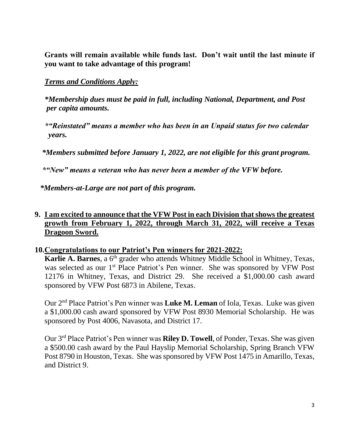**Grants will remain available while funds last. Don't wait until the last minute if you want to take advantage of this program!**

#### *Terms and Conditions Apply:*

*\*Membership dues must be paid in full, including National, Department, and Post per capita amounts.*

*\*"Reinstated" means a member who has been in an Unpaid status for two calendar years.*

 *\*Members submitted before January 1, 2022, are not eligible for this grant program.*

 *\*"New" means a veteran who has never been a member of the VFW before.*

 *\*Members-at-Large are not part of this program.*

#### **9. I am excited to announce that the VFW Post in each Division that shows the greatest growth from February 1, 2022, through March 31, 2022, will receive a Texas Dragoon Sword.**

#### **10.Congratulations to our Patriot's Pen winners for 2021-2022:**

**Karlie A. Barnes**, a 6<sup>th</sup> grader who attends Whitney Middle School in Whitney, Texas, was selected as our 1<sup>st</sup> Place Patriot's Pen winner. She was sponsored by VFW Post 12176 in Whitney, Texas, and District 29. She received a \$1,000.00 cash award sponsored by VFW Post 6873 in Abilene, Texas.

Our 2nd Place Patriot's Pen winner was **Luke M. Leman** of Iola, Texas. Luke was given a \$1,000.00 cash award sponsored by VFW Post 8930 Memorial Scholarship. He was sponsored by Post 4006, Navasota, and District 17.

Our 3rd Place Patriot's Pen winner was **Riley D. Towell**, of Ponder, Texas. She was given a \$500.00 cash award by the Paul Hayslip Memorial Scholarship, Spring Branch VFW Post 8790 in Houston, Texas. She was sponsored by VFW Post 1475 in Amarillo, Texas, and District 9.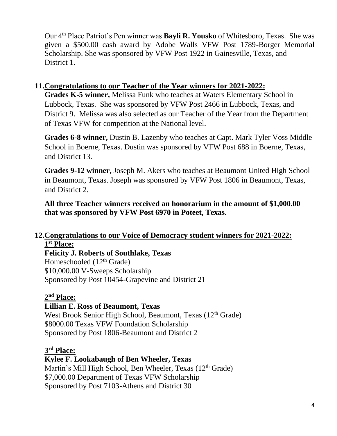Our 4th Place Patriot's Pen winner was **Bayli R. Yousko** of Whitesboro, Texas. She was given a \$500.00 cash award by Adobe Walls VFW Post 1789-Borger Memorial Scholarship. She was sponsored by VFW Post 1922 in Gainesville, Texas, and District 1.

## **11.Congratulations to our Teacher of the Year winners for 2021-2022:**

**Grades K-5 winner,** Melissa Funk who teaches at Waters Elementary School in Lubbock, Texas. She was sponsored by VFW Post 2466 in Lubbock, Texas, and District 9. Melissa was also selected as our Teacher of the Year from the Department of Texas VFW for competition at the National level.

**Grades 6-8 winner,** Dustin B. Lazenby who teaches at Capt. Mark Tyler Voss Middle School in Boerne, Texas. Dustin was sponsored by VFW Post 688 in Boerne, Texas, and District 13.

**Grades 9-12 winner,** Joseph M. Akers who teaches at Beaumont United High School in Beaumont, Texas. Joseph was sponsored by VFW Post 1806 in Beaumont, Texas, and District 2.

**All three Teacher winners received an honorarium in the amount of \$1,000.00 that was sponsored by VFW Post 6970 in Poteet, Texas.**

# **12.Congratulations to our Voice of Democracy student winners for 2021-2022: 1 st Place:**

**Felicity J. Roberts of Southlake, Texas**  Homeschooled  $(12<sup>th</sup>$  Grade) \$10,000.00 V-Sweeps Scholarship Sponsored by Post 10454-Grapevine and District 21

#### **2 nd Place:**

#### **Lillian E. Ross of Beaumont, Texas**

West Brook Senior High School, Beaumont, Texas (12<sup>th</sup> Grade) \$8000.00 Texas VFW Foundation Scholarship Sponsored by Post 1806-Beaumont and District 2

#### **3 rd Place:**

#### **Kylee F. Lookabaugh of Ben Wheeler, Texas**

Martin's Mill High School, Ben Wheeler, Texas (12<sup>th</sup> Grade) \$7,000.00 Department of Texas VFW Scholarship Sponsored by Post 7103-Athens and District 30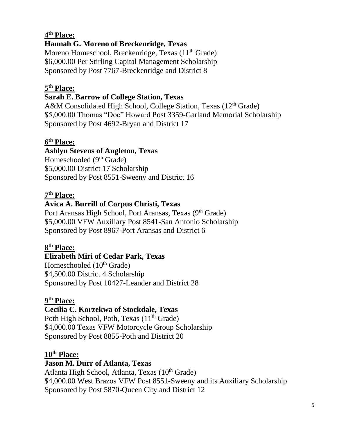# **4 th Place:**

# **Hannah G. Moreno of Breckenridge, Texas**

Moreno Homeschool, Breckenridge, Texas (11<sup>th</sup> Grade) \$6,000.00 Per Stirling Capital Management Scholarship Sponsored by Post 7767-Breckenridge and District 8

# **5 th Place:**

# **Sarah E. Barrow of College Station, Texas**

A&M Consolidated High School, College Station, Texas (12<sup>th</sup> Grade) \$5,000.00 Thomas "Doc" Howard Post 3359-Garland Memorial Scholarship Sponsored by Post 4692-Bryan and District 17

## **6 th Place:**

# **Ashlyn Stevens of Angleton, Texas**

Homeschooled (9<sup>th</sup> Grade) \$5,000.00 District 17 Scholarship Sponsored by Post 8551-Sweeny and District 16

## **7 th Place:**

# **Avica A. Burrill of Corpus Christi, Texas**

Port Aransas High School, Port Aransas, Texas (9<sup>th</sup> Grade) \$5,000.00 VFW Auxiliary Post 8541-San Antonio Scholarship Sponsored by Post 8967-Port Aransas and District 6

## **8 th Place:**

#### **Elizabeth Miri of Cedar Park, Texas**

Homeschooled (10<sup>th</sup> Grade) \$4,500.00 District 4 Scholarship Sponsored by Post 10427-Leander and District 28

#### **9 th Place:**

#### **Cecilia C. Korzekwa of Stockdale, Texas**

Poth High School, Poth, Texas  $(11<sup>th</sup> Grade)$ \$4,000.00 Texas VFW Motorcycle Group Scholarship Sponsored by Post 8855-Poth and District 20

#### **10th Place:**

#### **Jason M. Durr of Atlanta, Texas**

Atlanta High School, Atlanta, Texas (10<sup>th</sup> Grade) \$4,000.00 West Brazos VFW Post 8551-Sweeny and its Auxiliary Scholarship Sponsored by Post 5870-Queen City and District 12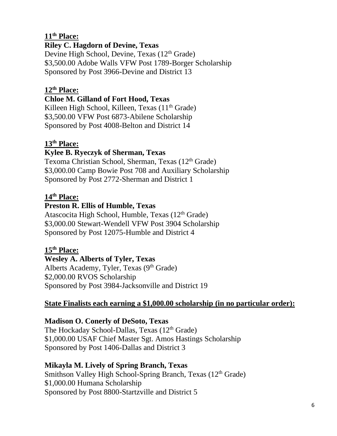# **11th Place:**

## **Riley C. Hagdorn of Devine, Texas**

Devine High School, Devine, Texas (12<sup>th</sup> Grade) \$3,500.00 Adobe Walls VFW Post 1789-Borger Scholarship Sponsored by Post 3966-Devine and District 13

## **12th Place:**

## **Chloe M. Gilland of Fort Hood, Texas**

Killeen High School, Killeen, Texas  $(11<sup>th</sup> Grade)$ \$3,500.00 VFW Post 6873-Abilene Scholarship Sponsored by Post 4008-Belton and District 14

## **13th Place:**

# **Kylee B. Ryeczyk of Sherman, Texas**

Texoma Christian School, Sherman, Texas (12<sup>th</sup> Grade) \$3,000.00 Camp Bowie Post 708 and Auxiliary Scholarship Sponsored by Post 2772-Sherman and District 1

## **14th Place:**

## **Preston R. Ellis of Humble, Texas**

Atascocita High School, Humble, Texas (12<sup>th</sup> Grade) \$3,000.00 Stewart-Wendell VFW Post 3904 Scholarship Sponsored by Post 12075-Humble and District 4

## **15th Place:**

# **Wesley A. Alberts of Tyler, Texas**

Alberts Academy, Tyler, Texas (9<sup>th</sup> Grade) \$2,000.00 RVOS Scholarship Sponsored by Post 3984-Jacksonville and District 19

## **State Finalists each earning a \$1,000.00 scholarship (in no particular order):**

## **Madison O. Conerly of DeSoto, Texas**

The Hockaday School-Dallas, Texas  $(12<sup>th</sup>$  Grade) \$1,000.00 USAF Chief Master Sgt. Amos Hastings Scholarship Sponsored by Post 1406-Dallas and District 3

## **Mikayla M. Lively of Spring Branch, Texas**

Smithson Valley High School-Spring Branch, Texas (12<sup>th</sup> Grade) \$1,000.00 Humana Scholarship Sponsored by Post 8800-Startzville and District 5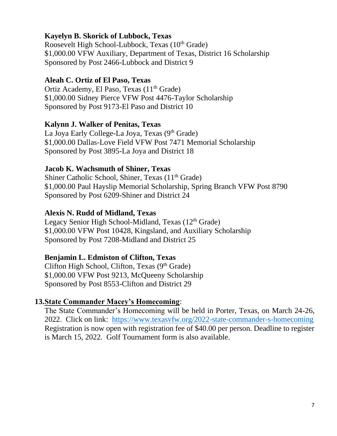## **Kayelyn B. Skorick of Lubbock, Texas**

Roosevelt High School-Lubbock, Texas (10<sup>th</sup> Grade) \$1,000.00 VFW Auxiliary, Department of Texas, District 16 Scholarship Sponsored by Post 2466-Lubbock and District 9

#### **Aleah C. Ortiz of El Paso, Texas**

Ortiz Academy, El Paso, Texas  $(11<sup>th</sup> Grade)$ \$1,000.00 Sidney Pierce VFW Post 4476-Taylor Scholarship Sponsored by Post 9173-El Paso and District 10

#### **Kalynn J. Walker of Penitas, Texas**

La Joya Early College-La Joya, Texas  $(9<sup>th</sup> Grade)$ \$1,000.00 Dallas-Love Field VFW Post 7471 Memorial Scholarship Sponsored by Post 3895-La Joya and District 18

#### **Jacob K. Wachsmuth of Shiner, Texas**

Shiner Catholic School, Shiner, Texas  $(11<sup>th</sup>$  Grade) \$1,000.00 Paul Hayslip Memorial Scholarship, Spring Branch VFW Post 8790 Sponsored by Post 6209-Shiner and District 24

#### **Alexis N. Rudd of Midland, Texas**

Legacy Senior High School-Midland, Texas (12<sup>th</sup> Grade) \$1,000.00 VFW Post 10428, Kingsland, and Auxiliary Scholarship Sponsored by Post 7208-Midland and District 25

#### **Benjamin L. Edmiston of Clifton, Texas**

Clifton High School, Clifton, Texas  $(9<sup>th</sup> Grade)$ \$1,000.00 VFW Post 9213, McQueeny Scholarship Sponsored by Post 8553-Clifton and District 29

#### **13.State Commander Macey's Homecoming**:

The State Commander's Homecoming will be held in Porter, Texas, on March 24-26, 2022. Click on link: <https://www.texasvfw.org/2022-state-commander-s-homecoming> Registration is now open with registration fee of \$40.00 per person. Deadline to register is March 15, 2022. Golf Tournament form is also available.